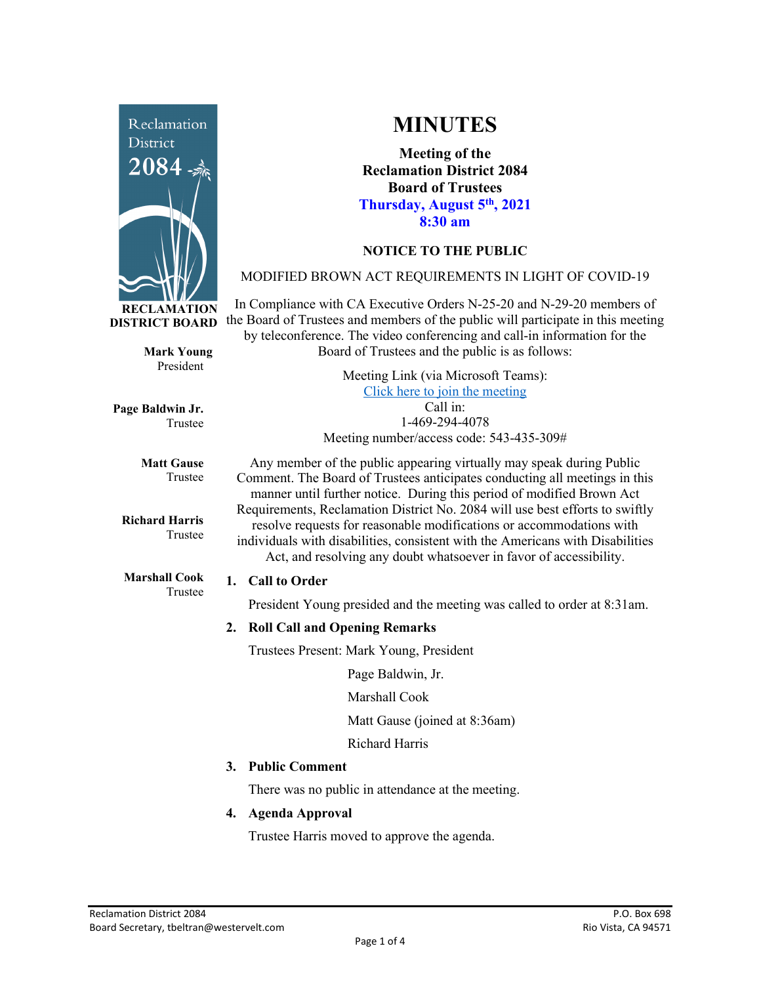

**Mark Young** President

Trustee

Trustee

**Matt Gause** Trustee

**Richard Harris**

**Marshall Cook** Trustee

**Page Baldwin Jr.**

**MINUTES**

**Meeting of the Reclamation District 2084 Board of Trustees Thursday, August 5th, 2021 8:30 am**

# **NOTICE TO THE PUBLIC**

### MODIFIED BROWN ACT REQUIREMENTS IN LIGHT OF COVID-19

In Compliance with CA Executive Orders N-25-20 and N-29-20 members of the Board of Trustees and members of the public will participate in this meeting by teleconference. The video conferencing and call-in information for the Board of Trustees and the public is as follows:

> Meeting Link (via Microsoft Teams): [Click here to join the meeting](https://teams.microsoft.com/l/meetup-join/19%3ameeting_Y2UyNWRiYzQtYWY2Mi00MTlhLWI0NDQtMjUzYzk0OWU0NGFi%40thread.v2/0?context=%7b%22Tid%22%3a%22f9038203-c87c-4f0e-b326-970a381acd40%22%2c%22Oid%22%3a%22b6a515a8-4d0a-410e-b81a-1dc60ae8c01d%22%7d) Call in: 1-469-294-4078 Meeting number/access code: 543-435-309#

Any member of the public appearing virtually may speak during Public Comment. The Board of Trustees anticipates conducting all meetings in this manner until further notice. During this period of modified Brown Act Requirements, Reclamation District No. 2084 will use best efforts to swiftly resolve requests for reasonable modifications or accommodations with individuals with disabilities, consistent with the Americans with Disabilities Act, and resolving any doubt whatsoever in favor of accessibility.

#### **1. Call to Order**

President Young presided and the meeting was called to order at 8:31am.

### **2. Roll Call and Opening Remarks**

Trustees Present: Mark Young, President

Page Baldwin, Jr.

Marshall Cook

Matt Gause (joined at 8:36am)

Richard Harris

### **3. Public Comment**

There was no public in attendance at the meeting.

### **4. Agenda Approval**

Trustee Harris moved to approve the agenda.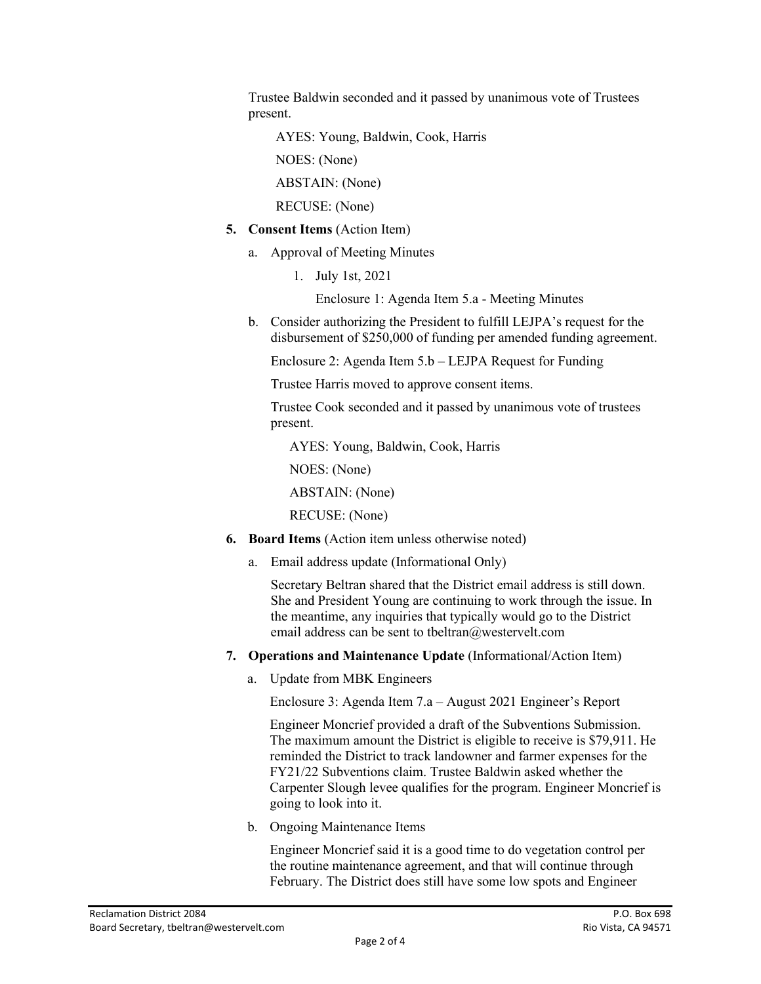Trustee Baldwin seconded and it passed by unanimous vote of Trustees present.

AYES: Young, Baldwin, Cook, Harris

NOES: (None)

ABSTAIN: (None)

RECUSE: (None)

- **5. Consent Items** (Action Item)
	- a. Approval of Meeting Minutes
		- 1. July 1st, 2021

Enclosure 1: Agenda Item 5.a - Meeting Minutes

b. Consider authorizing the President to fulfill LEJPA's request for the disbursement of \$250,000 of funding per amended funding agreement.

Enclosure 2: Agenda Item 5.b – LEJPA Request for Funding

Trustee Harris moved to approve consent items.

Trustee Cook seconded and it passed by unanimous vote of trustees present.

AYES: Young, Baldwin, Cook, Harris

NOES: (None)

ABSTAIN: (None)

RECUSE: (None)

- **6. Board Items** (Action item unless otherwise noted)
	- a. Email address update (Informational Only)

Secretary Beltran shared that the District email address is still down. She and President Young are continuing to work through the issue. In the meantime, any inquiries that typically would go to the District email address can be sent to tbeltran@westervelt.com

- **7. Operations and Maintenance Update** (Informational/Action Item)
	- a. Update from MBK Engineers

Enclosure 3: Agenda Item 7.a – August 2021 Engineer's Report

Engineer Moncrief provided a draft of the Subventions Submission. The maximum amount the District is eligible to receive is \$79,911. He reminded the District to track landowner and farmer expenses for the FY21/22 Subventions claim. Trustee Baldwin asked whether the Carpenter Slough levee qualifies for the program. Engineer Moncrief is going to look into it.

b. Ongoing Maintenance Items

Engineer Moncrief said it is a good time to do vegetation control per the routine maintenance agreement, and that will continue through February. The District does still have some low spots and Engineer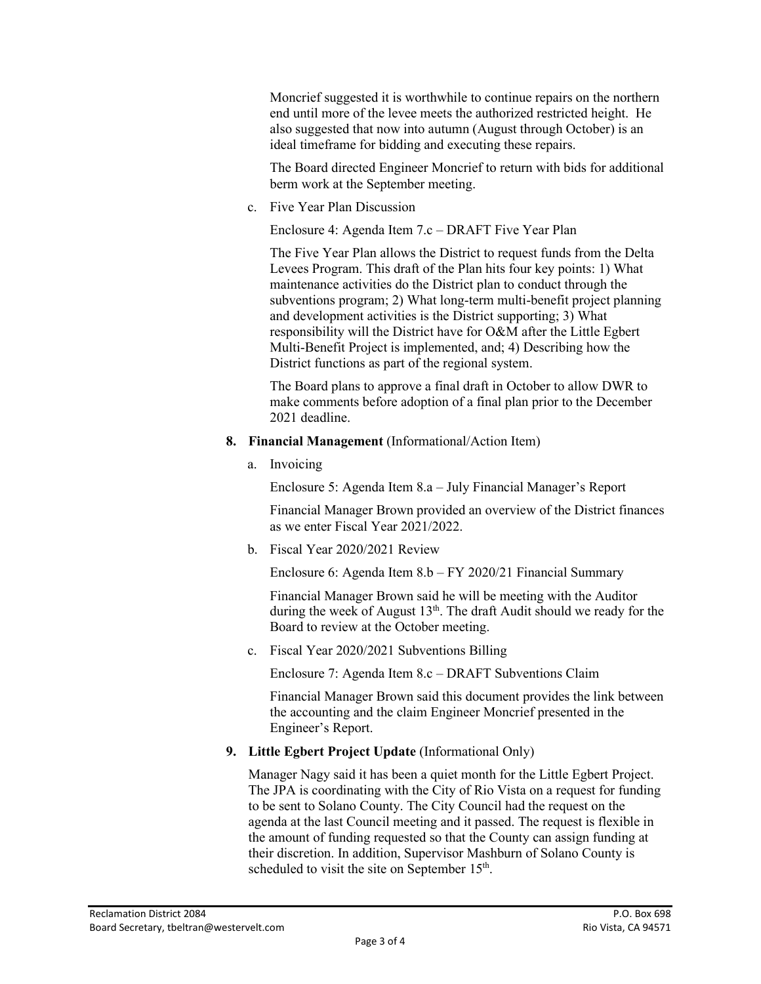Moncrief suggested it is worthwhile to continue repairs on the northern end until more of the levee meets the authorized restricted height. He also suggested that now into autumn (August through October) is an ideal timeframe for bidding and executing these repairs.

The Board directed Engineer Moncrief to return with bids for additional berm work at the September meeting.

c. Five Year Plan Discussion

Enclosure 4: Agenda Item 7.c – DRAFT Five Year Plan

The Five Year Plan allows the District to request funds from the Delta Levees Program. This draft of the Plan hits four key points: 1) What maintenance activities do the District plan to conduct through the subventions program; 2) What long-term multi-benefit project planning and development activities is the District supporting; 3) What responsibility will the District have for O&M after the Little Egbert Multi-Benefit Project is implemented, and; 4) Describing how the District functions as part of the regional system.

The Board plans to approve a final draft in October to allow DWR to make comments before adoption of a final plan prior to the December 2021 deadline.

- **8. Financial Management** (Informational/Action Item)
	- a. Invoicing

Enclosure 5: Agenda Item 8.a – July Financial Manager's Report

Financial Manager Brown provided an overview of the District finances as we enter Fiscal Year 2021/2022.

b. Fiscal Year 2020/2021 Review

Enclosure 6: Agenda Item 8.b – FY 2020/21 Financial Summary

Financial Manager Brown said he will be meeting with the Auditor during the week of August  $13<sup>th</sup>$ . The draft Audit should we ready for the Board to review at the October meeting.

c. Fiscal Year 2020/2021 Subventions Billing

Enclosure 7: Agenda Item 8.c – DRAFT Subventions Claim

Financial Manager Brown said this document provides the link between the accounting and the claim Engineer Moncrief presented in the Engineer's Report.

**9. Little Egbert Project Update** (Informational Only)

Manager Nagy said it has been a quiet month for the Little Egbert Project. The JPA is coordinating with the City of Rio Vista on a request for funding to be sent to Solano County. The City Council had the request on the agenda at the last Council meeting and it passed. The request is flexible in the amount of funding requested so that the County can assign funding at their discretion. In addition, Supervisor Mashburn of Solano County is scheduled to visit the site on September 15<sup>th</sup>.